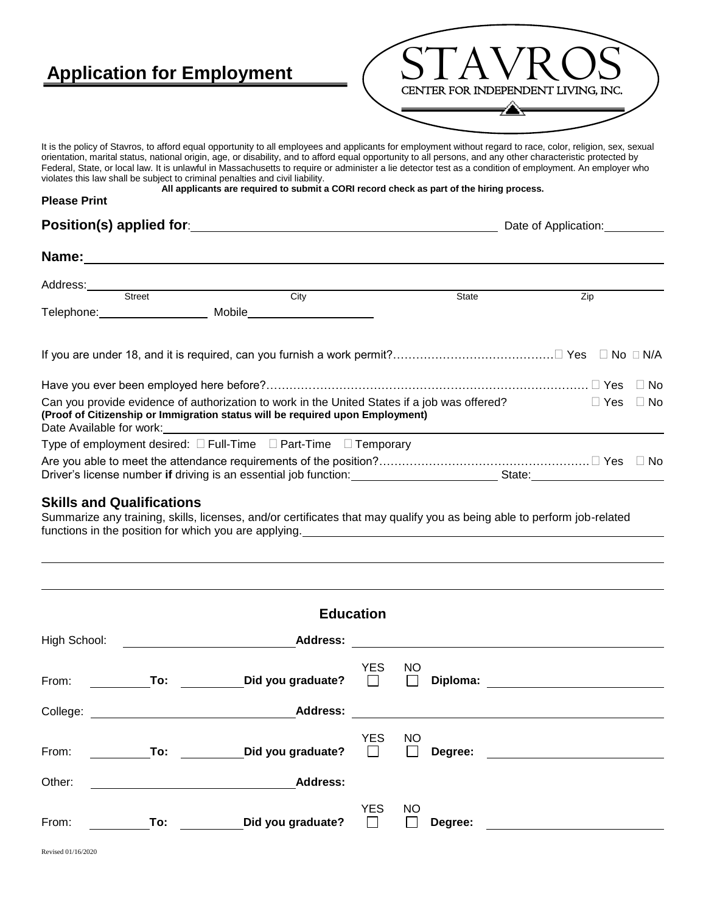## **Application for Employment** CENTER FOR INDEPENDENT LIVING, INC. It is the policy of Stavros, to afford equal opportunity to all employees and applicants for employment without regard to race, color, religion, sex, sexual orientation, marital status, national origin, age, or disability, and to afford equal opportunity to all persons, and any other characteristic protected by Federal, State, or local law. It is unlawful in Massachusetts to require or administer a lie detector test as a condition of employment. An employer who violates this law shall be subject to criminal penalties and civil liability. **All applicants are required to submit a CORI record check as part of the hiring process. Please Print Position(s) applied for**: **Date of Application:** Date of Application: **Name:** Address: Street City State Zip Telephone: Mobile If you are under 18, and it is required, can you furnish a work permit?…………………………………… Yes No N/A Have you ever been employed here before?………………………………………………………………………… Yes No Can you provide evidence of authorization to work in the United States if a job was offered?  $\Box$  Yes  $\Box$  No **(Proof of Citizenship or Immigration status will be required upon Employment)** Date Available for work: Type of employment desired:  $\Box$  Full-Time  $\Box$  Part-Time  $\Box$  Temporary Are you able to meet the attendance requirements of the position?……………………………………………………………… Yes  $\Box$  No Driver's license number if driving is an essential job function: State: State: State:

## **Skills and Qualifications**

Summarize any training, skills, licenses, and/or certificates that may qualify you as being able to perform job-related functions in the position for which you are applying.

| <b>Education</b> |                                                 |                   |                       |                     |          |  |  |
|------------------|-------------------------------------------------|-------------------|-----------------------|---------------------|----------|--|--|
| High School:     | <u> 1980 - Jan Samuel Barbara, politik a po</u> | <b>Address:</b>   |                       |                     |          |  |  |
| From:            | <b>Example 1</b> To:                            | Did you graduate? | <b>YES</b><br>$\Box$  | <b>NO</b><br>$\Box$ | Diploma: |  |  |
| College:         |                                                 | <b>Address:</b>   |                       |                     |          |  |  |
| From:            | To:                                             | Did you graduate? | <b>YES</b><br>$\perp$ | <b>NO</b>           | Degree:  |  |  |
| Other:           |                                                 | <b>Address:</b>   |                       |                     |          |  |  |
| From:            | To:                                             | Did you graduate? | <b>YES</b>            | <b>NO</b>           | Degree:  |  |  |

Revised 01/16/2020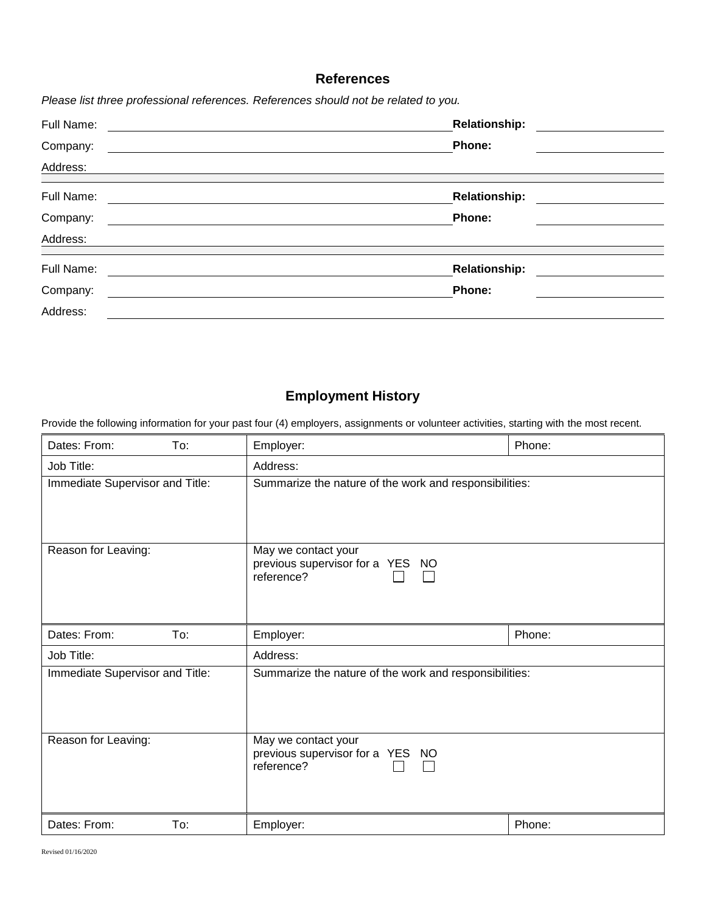## **References**

*Please list three professional references. References should not be related to you.*

| Full Name: | <b>Relationship:</b> |  |  |  |
|------------|----------------------|--|--|--|
| Company:   | Phone:               |  |  |  |
| Address:   |                      |  |  |  |
| Full Name: | <b>Relationship:</b> |  |  |  |
| Company:   | Phone:               |  |  |  |
| Address:   |                      |  |  |  |
| Full Name: | <b>Relationship:</b> |  |  |  |
| Company:   | Phone:               |  |  |  |
| Address:   |                      |  |  |  |

## **Employment History**

Provide the following information for your past four (4) employers, assignments or volunteer activities, starting with the most recent.

| Dates: From:<br>To:             | Employer:                                                             | Phone: |
|---------------------------------|-----------------------------------------------------------------------|--------|
| Job Title:                      | Address:                                                              |        |
| Immediate Supervisor and Title: | Summarize the nature of the work and responsibilities:                |        |
| Reason for Leaving:             | May we contact your<br>previous supervisor for a YES NO<br>reference? |        |
| Dates: From:<br>To:             | Employer:                                                             | Phone: |
| Job Title:                      | Address:                                                              |        |
| Immediate Supervisor and Title: | Summarize the nature of the work and responsibilities:                |        |
| Reason for Leaving:             | May we contact your<br>previous supervisor for a YES NO<br>reference? |        |
| Dates: From:<br>To:             | Employer:                                                             | Phone: |